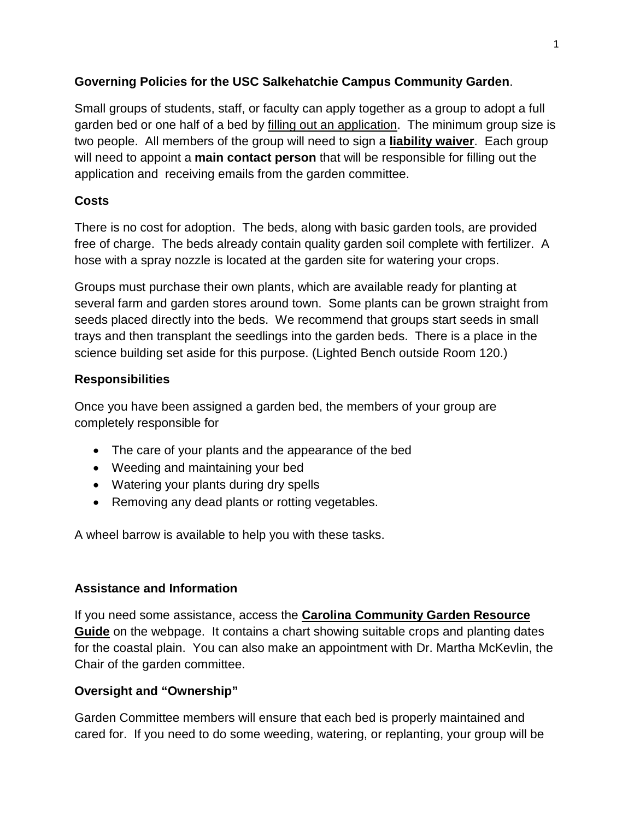#### **Governing Policies for the USC Salkehatchie Campus Community Garden**.

Small groups of students, staff, or faculty can apply together as a group to adopt a full garden bed or one half of a bed by filling out an application. The minimum group size is two people. All members of the group will need to sign a **liability waiver**. Each group will need to appoint a **main contact person** that will be responsible for filling out the application and receiving emails from the garden committee.

## **Costs**

There is no cost for adoption. The beds, along with basic garden tools, are provided free of charge. The beds already contain quality garden soil complete with fertilizer. A hose with a spray nozzle is located at the garden site for watering your crops.

Groups must purchase their own plants, which are available ready for planting at several farm and garden stores around town. Some plants can be grown straight from seeds placed directly into the beds. We recommend that groups start seeds in small trays and then transplant the seedlings into the garden beds. There is a place in the science building set aside for this purpose. (Lighted Bench outside Room 120.)

## **Responsibilities**

Once you have been assigned a garden bed, the members of your group are completely responsible for

- The care of your plants and the appearance of the bed
- Weeding and maintaining your bed
- Watering your plants during dry spells
- Removing any dead plants or rotting vegetables.

A wheel barrow is available to help you with these tasks.

#### **Assistance and Information**

If you need some assistance, access the **Carolina Community Garden Resource Guide** on the webpage. It contains a chart showing suitable crops and planting dates for the coastal plain. You can also make an appointment with Dr. Martha McKevlin, the Chair of the garden committee.

# **Oversight and "Ownership"**

Garden Committee members will ensure that each bed is properly maintained and cared for. If you need to do some weeding, watering, or replanting, your group will be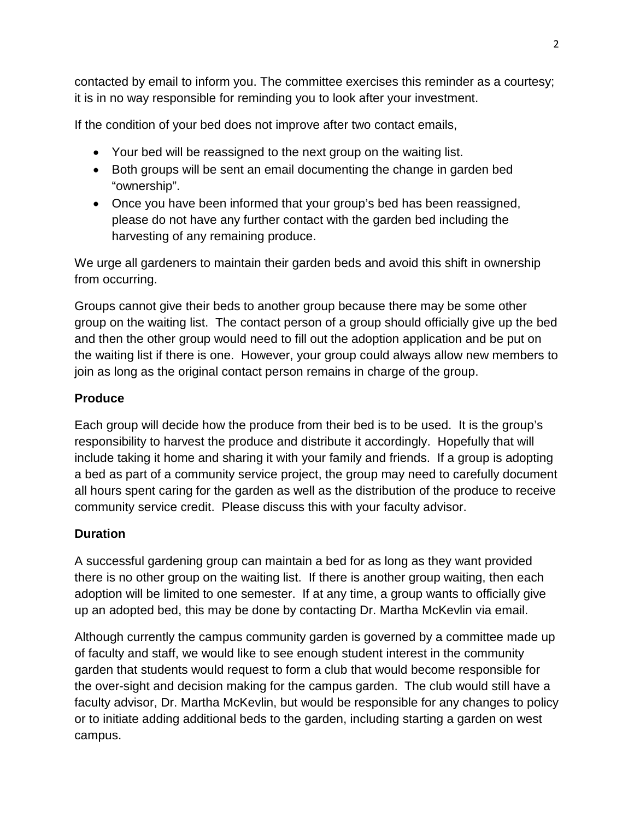contacted by email to inform you. The committee exercises this reminder as a courtesy; it is in no way responsible for reminding you to look after your investment.

If the condition of your bed does not improve after two contact emails,

- Your bed will be reassigned to the next group on the waiting list.
- Both groups will be sent an email documenting the change in garden bed "ownership".
- Once you have been informed that your group's bed has been reassigned, please do not have any further contact with the garden bed including the harvesting of any remaining produce.

We urge all gardeners to maintain their garden beds and avoid this shift in ownership from occurring.

Groups cannot give their beds to another group because there may be some other group on the waiting list. The contact person of a group should officially give up the bed and then the other group would need to fill out the adoption application and be put on the waiting list if there is one. However, your group could always allow new members to join as long as the original contact person remains in charge of the group.

## **Produce**

Each group will decide how the produce from their bed is to be used. It is the group's responsibility to harvest the produce and distribute it accordingly. Hopefully that will include taking it home and sharing it with your family and friends. If a group is adopting a bed as part of a community service project, the group may need to carefully document all hours spent caring for the garden as well as the distribution of the produce to receive community service credit. Please discuss this with your faculty advisor.

# **Duration**

A successful gardening group can maintain a bed for as long as they want provided there is no other group on the waiting list. If there is another group waiting, then each adoption will be limited to one semester. If at any time, a group wants to officially give up an adopted bed, this may be done by contacting Dr. Martha McKevlin via email.

Although currently the campus community garden is governed by a committee made up of faculty and staff, we would like to see enough student interest in the community garden that students would request to form a club that would become responsible for the over-sight and decision making for the campus garden. The club would still have a faculty advisor, Dr. Martha McKevlin, but would be responsible for any changes to policy or to initiate adding additional beds to the garden, including starting a garden on west campus.